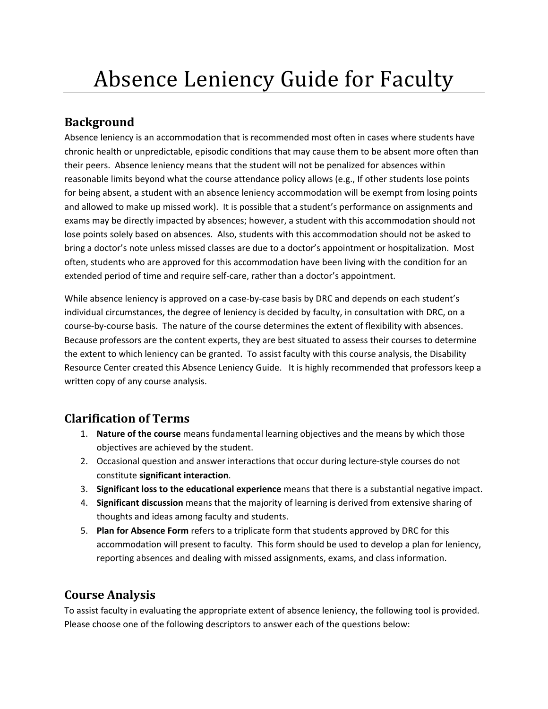# **Background**

 Absence leniency is an accommodation that is recommended most often in cases where students have chronic health or unpredictable, episodic conditions that may cause them to be absent more often than their peers. Absence leniency means that the student will not be penalized for absences within reasonable limits beyond what the course attendance policy allows (e.g., If other students lose points for being absent, a student with an absence leniency accommodation will be exempt from losing points and allowed to make up missed work). It is possible that a student's performance on assignments and exams may be directly impacted by absences; however, a student with this accommodation should not lose points solely based on absences. Also, students with this accommodation should not be asked to bring a doctor's note unless missed classes are due to a doctor's appointment or hospitalization. Most often, students who are approved for this accommodation have been living with the condition for an extended period of time and require self‐care, rather than a doctor's appointment.

 While absence leniency is approved on a case‐by‐case basis by DRC and depends on each student's individual circumstances, the degree of leniency is decided by faculty, in consultation with DRC, on a course‐by‐course basis. The nature of the course determines the extent of flexibility with absences. Because professors are the content experts, they are best situated to assess their courses to determine the extent to which leniency can be granted. To assist faculty with this course analysis, the Disability Resource Center created this Absence Leniency Guide. It is highly recommended that professors keep a written copy of any course analysis.

## **Clarification of Terms**

- 1. **Nature of the course** means fundamental learning objectives and the means by which those objectives are achieved by the student.
- 2. Occasional question and answer interactions that occur during lecture-style courses do not constitute **significant interaction**.
- 3. **Significant loss to the educational experience** means that there is a substantial negative impact.
- 4. **Significant discussion** means that the majority of learning is derived from extensive sharing of thoughts and ideas among faculty and students.
- 5. **Plan for Absence Form** refers to a triplicate form that students approved by DRC for this accommodation will present to faculty. This form should be used to develop a plan for leniency, reporting absences and dealing with missed assignments, exams, and class information.

# **Course Analysis**

 To assist faculty in evaluating the appropriate extent of absence leniency, the following tool is provided. Please choose one of the following descriptors to answer each of the questions below: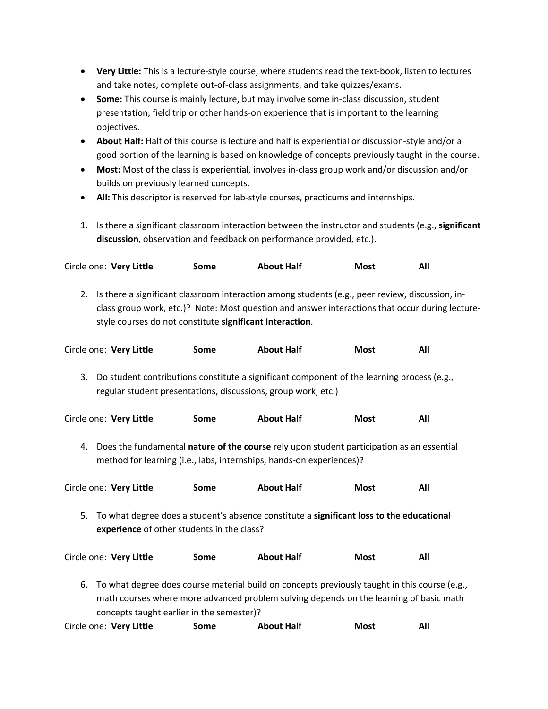- **Very Little:** This is a lecture‐style course, where students read the text‐book, listen to lectures and take notes, complete out‐of‐class assignments, and take quizzes/exams.
- **Some:** This course is mainly lecture, but may involve some in‐class discussion, student presentation, field trip or other hands‐on experience that is important to the learning objectives.
- **About Half:** Half of this course is lecture and half is experiential or discussion‐style and/or a good portion of the learning is based on knowledge of concepts previously taught in the course.
- **Most:** Most of the class is experiential, involves in‐class group work and/or discussion and/or builds on previously learned concepts.
- **All:** This descriptor is reserved for lab‐style courses, practicums and internships.
- 1. Is there a significant classroom interaction between the instructor and students (e.g., **significant discussion**, observation and feedback on performance provided, etc.).

| Circle one: Very Little | Some | <b>About Half</b> | <b>Most</b> | All |
|-------------------------|------|-------------------|-------------|-----|
|-------------------------|------|-------------------|-------------|-----|

2. Is there a significant classroom interaction among students (e.g., peer review, discussion, in- class group work, etc.)? Note: Most question and answer interactions that occur during lecture‐ style courses do not constitute **significant interaction**.

|    | Circle one: Very Little                    | Some | <b>About Half</b>                                                                                                                                                                       | <b>Most</b> | All |
|----|--------------------------------------------|------|-----------------------------------------------------------------------------------------------------------------------------------------------------------------------------------------|-------------|-----|
| 3. |                                            |      | Do student contributions constitute a significant component of the learning process (e.g.,<br>regular student presentations, discussions, group work, etc.)                             |             |     |
|    | Circle one: Very Little                    | Some | <b>About Half</b>                                                                                                                                                                       | <b>Most</b> | All |
| 4. |                                            |      | Does the fundamental nature of the course rely upon student participation as an essential<br>method for learning (i.e., labs, internships, hands-on experiences)?                       |             |     |
|    | Circle one: Very Little                    | Some | <b>About Half</b>                                                                                                                                                                       | <b>Most</b> | All |
| 5. | experience of other students in the class? |      | To what degree does a student's absence constitute a significant loss to the educational                                                                                                |             |     |
|    | Circle one: Very Little                    | Some | <b>About Half</b>                                                                                                                                                                       | <b>Most</b> | All |
| 6. | concepts taught earlier in the semester)?  |      | To what degree does course material build on concepts previously taught in this course (e.g.,<br>math courses where more advanced problem solving depends on the learning of basic math |             |     |
|    | Circle one: Very Little                    | Some | <b>About Half</b>                                                                                                                                                                       | <b>Most</b> | All |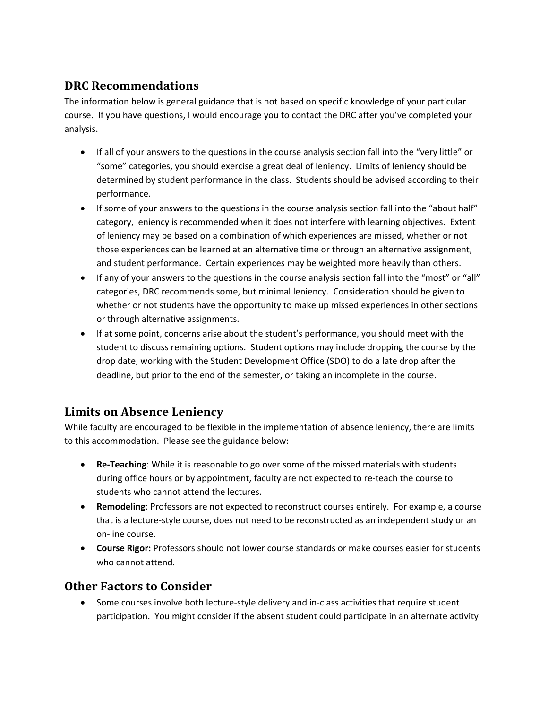## **DRC Recommendations**

 The information below is general guidance that is not based on specific knowledge of your particular course. If you have questions, I would encourage you to contact the DRC after you've completed your analysis.

- If all of your answers to the questions in the course analysis section fall into the "very little" or "some" categories, you should exercise a great deal of leniency. Limits of leniency should be determined by student performance in the class. Students should be advised according to their performance.
- If some of your answers to the questions in the course analysis section fall into the "about half" category, leniency is recommended when it does not interfere with learning objectives. Extent of leniency may be based on a combination of which experiences are missed, whether or not those experiences can be learned at an alternative time or through an alternative assignment, and student performance. Certain experiences may be weighted more heavily than others.
- If any of your answers to the questions in the course analysis section fall into the "most" or "all" categories, DRC recommends some, but minimal leniency. Consideration should be given to whether or not students have the opportunity to make up missed experiences in other sections or through alternative assignments.
- If at some point, concerns arise about the student's performance, you should meet with the student to discuss remaining options. Student options may include dropping the course by the drop date, working with the Student Development Office (SDO) to do a late drop after the deadline, but prior to the end of the semester, or taking an incomplete in the course.

### **Limits on Absence Leniency**

 While faculty are encouraged to be flexible in the implementation of absence leniency, there are limits to this accommodation. Please see the guidance below:

- **Re‐Teaching**: While it is reasonable to go over some of the missed materials with students during office hours or by appointment, faculty are not expected to re‐teach the course to students who cannot attend the lectures.
- **Remodeling**: Professors are not expected to reconstruct courses entirely. For example, a course that is a lecture‐style course, does not need to be reconstructed as an independent study or an on‐line course.
- **Course Rigor:** Professors should not lower course standards or make courses easier for students who cannot attend.

### **Other Factors to Consider**

● Some courses involve both lecture-style delivery and in-class activities that require student participation. You might consider if the absent student could participate in an alternate activity